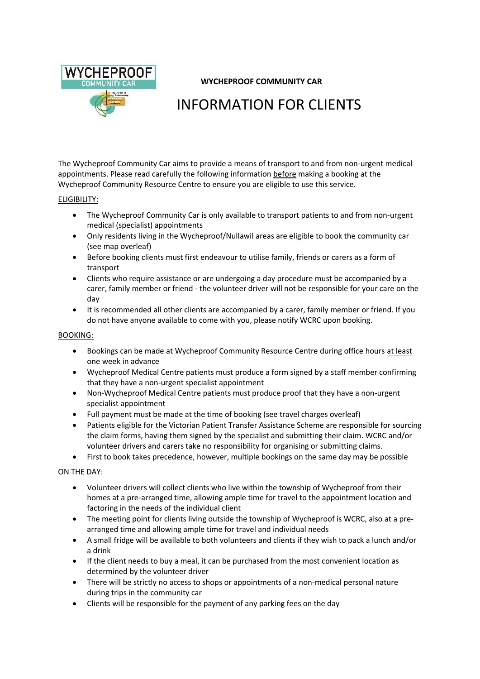

## **WYCHEPROOF COMMUNITY CAR**

# INFORMATION FOR CLIENTS

The Wycheproof Community Car aims to provide a means of transport to and from non-urgent medical appointments. Please read carefully the following information before making a booking at the Wycheproof Community Resource Centre to ensure you are eligible to use this service.

#### ELIGIBILITY:

- The Wycheproof Community Car is only available to transport patients to and from non-urgent medical (specialist) appointments
- Only residents living in the Wycheproof/Nullawil areas are eligible to book the community car (see map overleaf)
- Before booking clients must first endeavour to utilise family, friends or carers as a form of transport
- Clients who require assistance or are undergoing a day procedure must be accompanied by a carer, family member or friend - the volunteer driver will not be responsible for your care on the day
- It is recommended all other clients are accompanied by a carer, family member or friend. If you do not have anyone available to come with you, please notify WCRC upon booking.

#### BOOKING:

- Bookings can be made at Wycheproof Community Resource Centre during office hours at least one week in advance
- Wycheproof Medical Centre patients must produce a form signed by a staff member confirming that they have a non-urgent specialist appointment
- Non-Wycheproof Medical Centre patients must produce proof that they have a non-urgent specialist appointment
- Full payment must be made at the time of booking (see travel charges overleaf)
- Patients eligible for the Victorian Patient Transfer Assistance Scheme are responsible for sourcing the claim forms, having them signed by the specialist and submitting their claim. WCRC and/or volunteer drivers and carers take no responsibility for organising or submitting claims.
- First to book takes precedence, however, multiple bookings on the same day may be possible

#### ON THE DAY:

- Volunteer drivers will collect clients who live within the township of Wycheproof from their homes at a pre-arranged time, allowing ample time for travel to the appointment location and factoring in the needs of the individual client
- The meeting point for clients living outside the township of Wycheproof is WCRC, also at a prearranged time and allowing ample time for travel and individual needs
- A small fridge will be available to both volunteers and clients if they wish to pack a lunch and/or a drink
- If the client needs to buy a meal, it can be purchased from the most convenient location as determined by the volunteer driver
- There will be strictly no access to shops or appointments of a non-medical personal nature during trips in the community car
- Clients will be responsible for the payment of any parking fees on the day